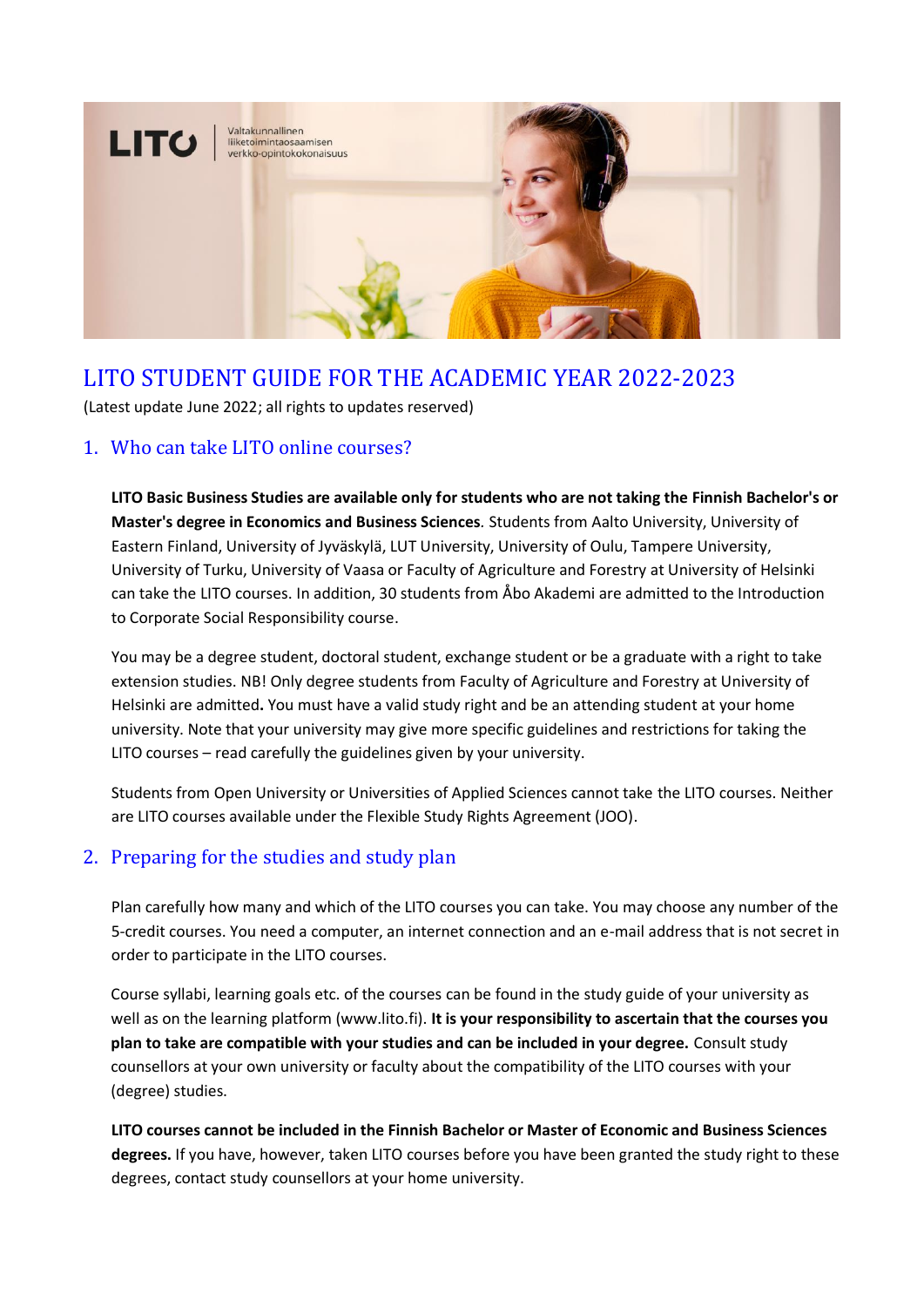

# LITO STUDENT GUIDE FOR THE ACADEMIC YEAR 2022-2023

(Latest update June 2022; all rights to updates reserved)

### 1. Who can take LITO online courses?

**LITO Basic Business Studies are available only for students who are not taking the Finnish Bachelor's or Master's degree in Economics and Business Sciences***.* Students from Aalto University, University of Eastern Finland, University of Jyväskylä, LUT University, University of Oulu, Tampere University, University of Turku, University of Vaasa or Faculty of Agriculture and Forestry at University of Helsinki can take the LITO courses. In addition, 30 students from Åbo Akademi are admitted to the Introduction to Corporate Social Responsibility course.

You may be a degree student, doctoral student, exchange student or be a graduate with a right to take extension studies. NB! Only degree students from Faculty of Agriculture and Forestry at University of Helsinki are admitted**.** You must have a valid study right and be an attending student at your home university. Note that your university may give more specific guidelines and restrictions for taking the LITO courses – read carefully the guidelines given by your university.

Students from Open University or Universities of Applied Sciences cannot take the LITO courses. Neither are LITO courses available under the Flexible Study Rights Agreement (JOO).

### 2. Preparing for the studies and study plan

Plan carefully how many and which of the LITO courses you can take. You may choose any number of the 5-credit courses. You need a computer, an internet connection and an e-mail address that is not secret in order to participate in the LITO courses.

Course syllabi, learning goals etc. of the courses can be found in the study guide of your university as well as on the learning platform (www.lito.fi). **It is your responsibility to ascertain that the courses you plan to take are compatible with your studies and can be included in your degree.** Consult study counsellors at your own university or faculty about the compatibility of the LITO courses with your (degree) studies.

**LITO courses cannot be included in the Finnish Bachelor or Master of Economic and Business Sciences degrees.** If you have, however, taken LITO courses before you have been granted the study right to these degrees, contact study counsellors at your home university.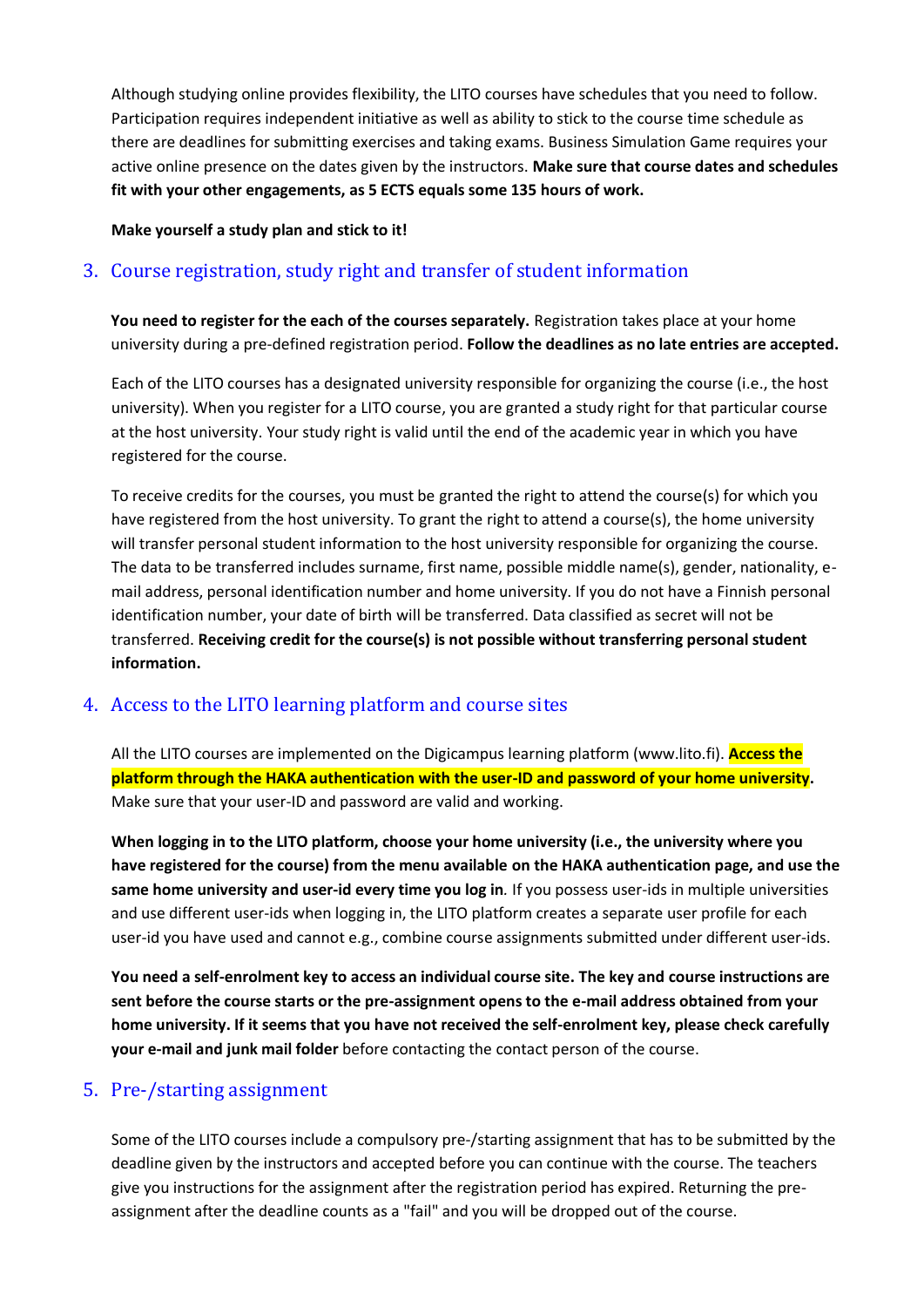Although studying online provides flexibility, the LITO courses have schedules that you need to follow. Participation requires independent initiative as well as ability to stick to the course time schedule as there are deadlines for submitting exercises and taking exams. Business Simulation Game requires your active online presence on the dates given by the instructors. **Make sure that course dates and schedules fit with your other engagements, as 5 ECTS equals some 135 hours of work.**

#### **Make yourself a study plan and stick to it!**

# 3. Course registration, study right and transfer of student information

**You need to register for the each of the courses separately.** Registration takes place at your home university during a pre-defined registration period. **Follow the deadlines as no late entries are accepted.**

Each of the LITO courses has a designated university responsible for organizing the course (i.e., the host university). When you register for a LITO course, you are granted a study right for that particular course at the host university. Your study right is valid until the end of the academic year in which you have registered for the course.

To receive credits for the courses, you must be granted the right to attend the course(s) for which you have registered from the host university. To grant the right to attend a course(s), the home university will transfer personal student information to the host university responsible for organizing the course. The data to be transferred includes surname, first name, possible middle name(s), gender, nationality, email address, personal identification number and home university. If you do not have a Finnish personal identification number, your date of birth will be transferred. Data classified as secret will not be transferred. **Receiving credit for the course(s) is not possible without transferring personal student information.**

### 4. Access to the LITO learning platform and course sites

All the LITO courses are implemented on the Digicampus learning platform (www.lito.fi). **Access the platform through the HAKA authentication with the user-ID and password of your home university.** Make sure that your user-ID and password are valid and working.

**When logging in to the LITO platform, choose your home university (i.e., the university where you have registered for the course) from the menu available on the HAKA authentication page, and use the same home university and user-id every time you log in***.* If you possess user-ids in multiple universities and use different user-ids when logging in, the LITO platform creates a separate user profile for each user-id you have used and cannot e.g., combine course assignments submitted under different user-ids.

**You need a self-enrolment key to access an individual course site. The key and course instructions are sent before the course starts or the pre-assignment opens to the e-mail address obtained from your home university. If it seems that you have not received the self-enrolment key, please check carefully your e-mail and junk mail folder** before contacting the contact person of the course.

### 5. Pre-/starting assignment

Some of the LITO courses include a compulsory pre-/starting assignment that has to be submitted by the deadline given by the instructors and accepted before you can continue with the course. The teachers give you instructions for the assignment after the registration period has expired. Returning the preassignment after the deadline counts as a "fail" and you will be dropped out of the course.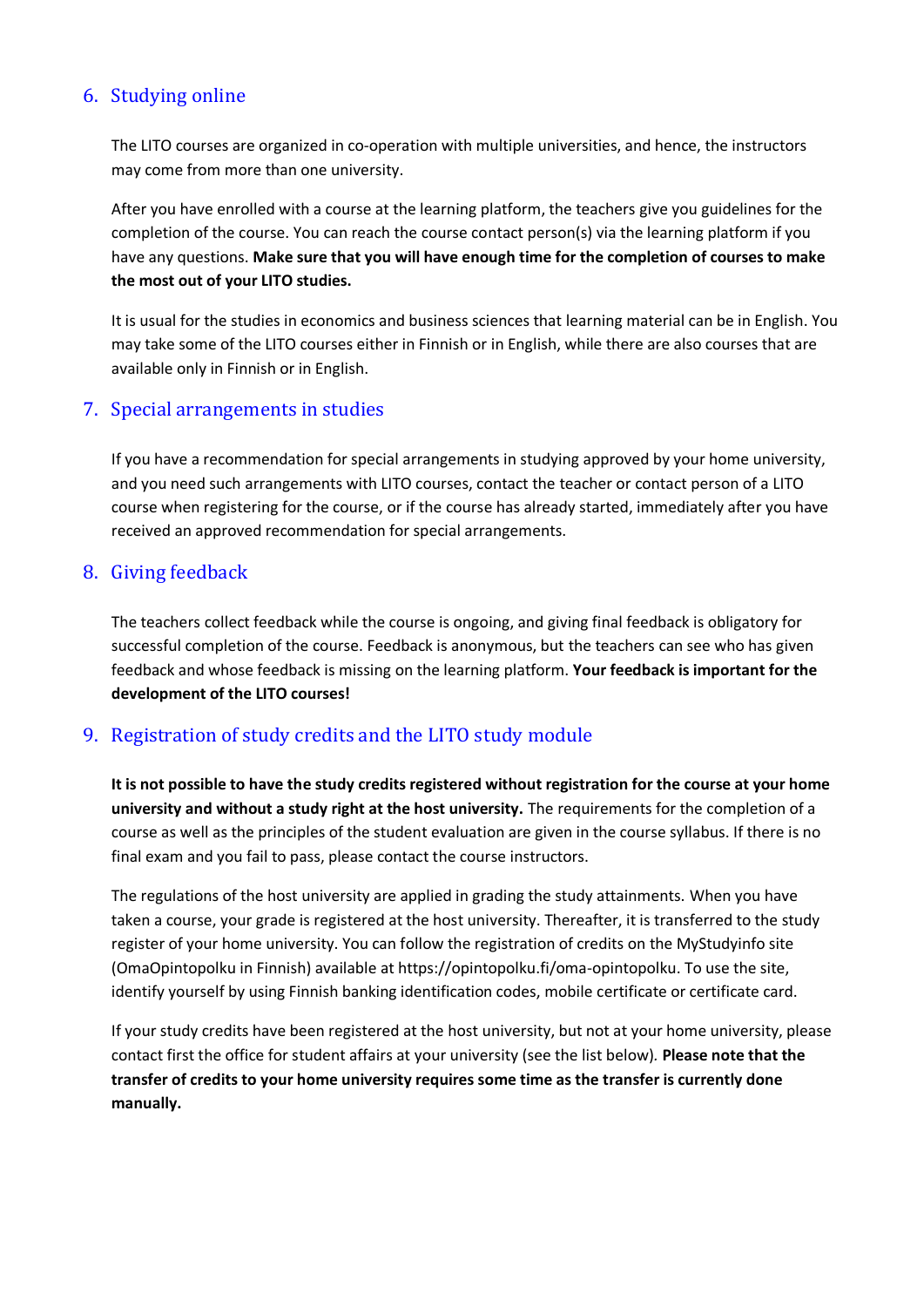# 6. Studying online

The LITO courses are organized in co-operation with multiple universities, and hence, the instructors may come from more than one university.

After you have enrolled with a course at the learning platform, the teachers give you guidelines for the completion of the course. You can reach the course contact person(s) via the learning platform if you have any questions. **Make sure that you will have enough time for the completion of courses to make the most out of your LITO studies.**

It is usual for the studies in economics and business sciences that learning material can be in English. You may take some of the LITO courses either in Finnish or in English, while there are also courses that are available only in Finnish or in English.

### 7. Special arrangements in studies

If you have a recommendation for special arrangements in studying approved by your home university, and you need such arrangements with LITO courses, contact the teacher or contact person of a LITO course when registering for the course, or if the course has already started, immediately after you have received an approved recommendation for special arrangements.

#### 8. Giving feedback

The teachers collect feedback while the course is ongoing, and giving final feedback is obligatory for successful completion of the course. Feedback is anonymous, but the teachers can see who has given feedback and whose feedback is missing on the learning platform. **Your feedback is important for the development of the LITO courses!**

### 9. Registration of study credits and the LITO study module

**It is not possible to have the study credits registered without registration for the course at your home university and without a study right at the host university.** The requirements for the completion of a course as well as the principles of the student evaluation are given in the course syllabus. If there is no final exam and you fail to pass, please contact the course instructors.

The regulations of the host university are applied in grading the study attainments. When you have taken a course, your grade is registered at the host university. Thereafter, it is transferred to the study register of your home university. You can follow the registration of credits on the MyStudyinfo site (OmaOpintopolku in Finnish) available at https://opintopolku.fi/oma-opintopolku. To use the site, identify yourself by using Finnish banking identification codes, mobile certificate or certificate card.

If your study credits have been registered at the host university, but not at your home university, please contact first the office for student affairs at your university (see the list below)*.* **Please note that the transfer of credits to your home university requires some time as the transfer is currently done manually.**